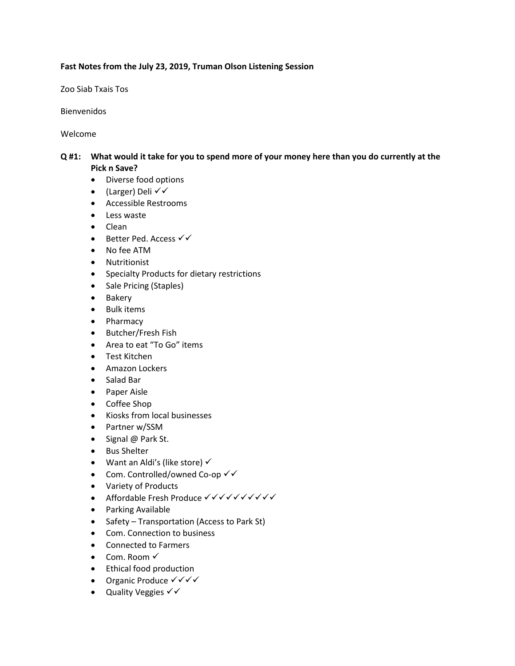#### **Fast Notes from the July 23, 2019, Truman Olson Listening Session**

Zoo Siab Txais Tos

Bienvenidos

Welcome

## **Q #1: What would it take for you to spend more of your money here than you do currently at the Pick n Save?**

- Diverse food options
- (Larger) Deli  $\checkmark$
- Accessible Restrooms
- Less waste
- Clean
- Better Ped. Access  $\checkmark\checkmark$
- No fee ATM
- Nutritionist
- Specialty Products for dietary restrictions
- Sale Pricing (Staples)
- Bakery
- Bulk items
- Pharmacy
- Butcher/Fresh Fish
- Area to eat "To Go" items
- Test Kitchen
- Amazon Lockers
- Salad Bar
- Paper Aisle
- Coffee Shop
- Kiosks from local businesses
- Partner w/SSM
- Signal @ Park St.
- Bus Shelter
- Want an Aldi's (like store)  $\checkmark$
- Com. Controlled/owned Co-op  $\checkmark\checkmark$
- Variety of Products
- Affordable Fresh Produce  $\checkmark$
- Parking Available
- Safety Transportation (Access to Park St)
- Com. Connection to business
- Connected to Farmers
- $\bullet$  Com. Room  $\checkmark$
- Ethical food production
- Organic Produce  $\checkmark\checkmark\checkmark$
- Quality Veggies  $\checkmark\checkmark$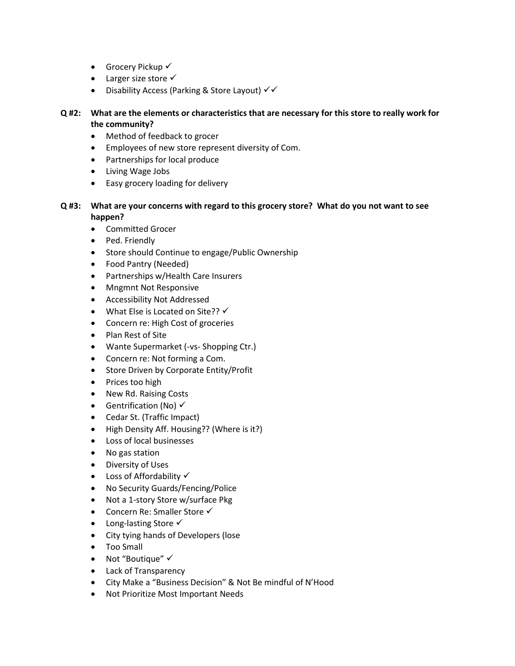- Grocery Pickup  $\checkmark$
- Larger size store  $\checkmark$
- Disability Access (Parking & Store Layout)  $\checkmark\checkmark$

# **Q #2: What are the elements or characteristics that are necessary for this store to really work for the community?**

- Method of feedback to grocer
- Employees of new store represent diversity of Com.
- Partnerships for local produce
- Living Wage Jobs
- Easy grocery loading for delivery

# **Q #3: What are your concerns with regard to this grocery store? What do you not want to see happen?**

- Committed Grocer
- Ped. Friendly
- Store should Continue to engage/Public Ownership
- Food Pantry (Needed)
- Partnerships w/Health Care Insurers
- Mngmnt Not Responsive
- Accessibility Not Addressed
- What Else is Located on Site??  $\checkmark$
- Concern re: High Cost of groceries
- Plan Rest of Site
- Wante Supermarket (-vs- Shopping Ctr.)
- Concern re: Not forming a Com.
- Store Driven by Corporate Entity/Profit
- Prices too high
- New Rd. Raising Costs
- Gentrification (No)  $\checkmark$
- Cedar St. (Traffic Impact)
- High Density Aff. Housing?? (Where is it?)
- Loss of local businesses
- No gas station
- Diversity of Uses
- $\bullet$  Loss of Affordability  $\checkmark$
- No Security Guards/Fencing/Police
- Not a 1-story Store w/surface Pkg
- Concern Re: Smaller Store  $\checkmark$
- Long-lasting Store √
- City tying hands of Developers (lose
- Too Small
- Not "Boutique"  $\checkmark$
- Lack of Transparency
- City Make a "Business Decision" & Not Be mindful of N'Hood
- Not Prioritize Most Important Needs